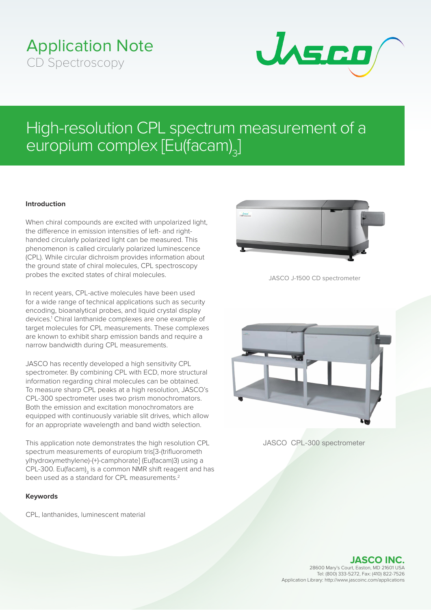## Application Note CD Spectroscopy



# High-resolution CPL spectrum measurement of a europium complex [Eu(facam)<sub>3</sub>]

### **Introduction**

When chiral compounds are excited with unpolarized light, the difference in emission intensities of left- and righthanded circularly polarized light can be measured. This phenomenon is called circularly polarized luminescence (CPL). While circular dichroism provides information about the ground state of chiral molecules, CPL spectroscopy probes the excited states of chiral molecules.

In recent years, CPL-active molecules have been used for a wide range of technical applications such as security encoding, bioanalytical probes, and liquid crystal display devices.<sup>1</sup> Chiral lanthanide complexes are one example of target molecules for CPL measurements. These complexes are known to exhibit sharp emission bands and require a narrow bandwidth during CPL measurements.

JASCO has recently developed a high sensitivity CPL spectrometer. By combining CPL with ECD, more structural information regarding chiral molecules can be obtained. To measure sharp CPL peaks at a high resolution, JASCO's CPL-300 spectrometer uses two prism monochromators. Both the emission and excitation monochromators are equipped with continuously variable slit drives, which allow for an appropriate wavelength and band width selection.

This application note demonstrates the high resolution CPL spectrum measurements of europium tris[3-(trifluorometh ylhydroxymethylene)-(+)-camphorate] (Eu(facam)3) using a CPL-300. Eu(facam) $_3$  is a common NMR shift reagent and has been used as a standard for CPL measurements.<sup>2</sup>

#### **Keywords**

CPL, lanthanides, luminescent material



JASCO J-1500 CD spectrometer



JASCO CPL-300 spectrometer

**JASCO INC.** 28600 Mary's Court, Easton, MD 21601 USA Tel: (800) 333-5272, Fax: (410) 822-7526 Application Library: http://www.jascoinc.com/applications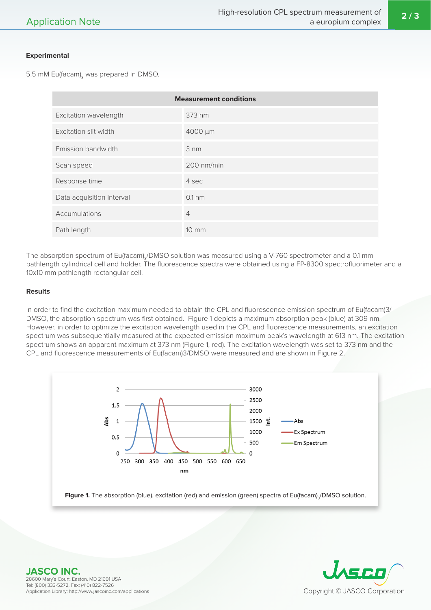#### **Experimental**

5.5 mM  $\mathsf{Eu}(\mathsf{facam})_{_3}$  was prepared in DMSO.

| <b>Measurement conditions</b> |                |
|-------------------------------|----------------|
| Excitation wavelength         | 373 nm         |
| Excitation slit width         | 4000 µm        |
| Emission bandwidth            | 3 nm           |
| Scan speed                    | 200 nm/min     |
| Response time                 | 4 sec          |
| Data acquisition interval     | $0.1$ nm       |
| Accumulations                 | $\overline{4}$ |
| Path length                   | 10 mm          |

The absorption spectrum of Eu(facam) $_3$ /DMSO solution was measured using a V-760 spectrometer and a 0.1 mm pathlength cylindrical cell and holder. The fluorescence spectra were obtained using a FP-8300 spectrofluorimeter and a 10x10 mm pathlength rectangular cell.

#### **Results**

In order to find the excitation maximum needed to obtain the CPL and fluorescence emission spectrum of Eu(facam)3/ DMSO, the absorption spectrum was first obtained. Figure 1 depicts a maximum absorption peak (blue) at 309 nm. However, in order to optimize the excitation wavelength used in the CPL and fluorescence measurements, an excitation spectrum was subsequentially measured at the expected emission maximum peak's wavelength at 613 nm. The excitation spectrum shows an apparent maximum at 373 nm (Figure 1, red). The excitation wavelength was set to 373 nm and the CPL and fluorescence measurements of Eu(facam)3/DMSO were measured and are shown in Figure 2.





**JASCO INC.** 28600 Mary's Court, Easton, MD 21601 USA Tel: (800) 333-5272, Fax: (410) 822-7526 Application Library: http://www.jascoinc.com/applications